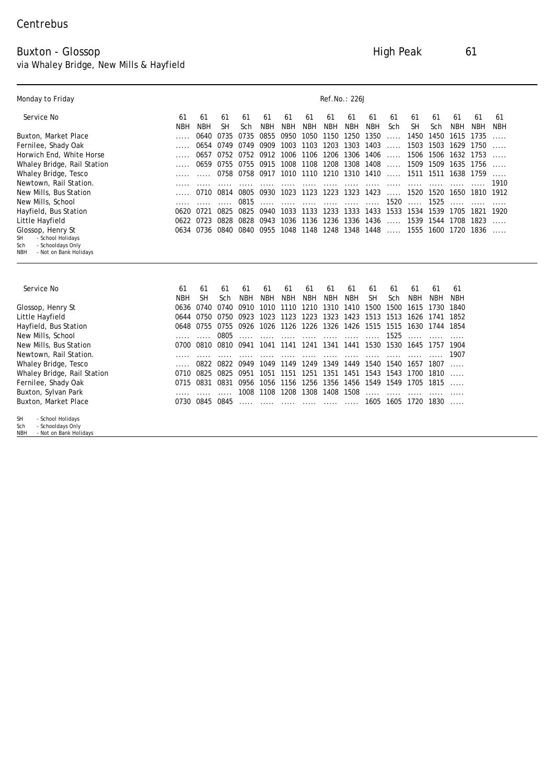## Buxton - Glossop High Peak 61

via Whaley Bridge, New Mills & Hayfield

| Monday to Friday                                                                                          |      |             |           |            |            |            |            |           | <b>Ref.No.: 226J</b>          |           |          |            |                                                                                                                                                                                                                                                                                     |            |            |           |
|-----------------------------------------------------------------------------------------------------------|------|-------------|-----------|------------|------------|------------|------------|-----------|-------------------------------|-----------|----------|------------|-------------------------------------------------------------------------------------------------------------------------------------------------------------------------------------------------------------------------------------------------------------------------------------|------------|------------|-----------|
| Service No                                                                                                | 61   | 61          | 61        | 61         | 61         | 61         | 61         | 61        | 61                            | 61        | 61       | 61         | 61                                                                                                                                                                                                                                                                                  | 61         | 61         | 61        |
|                                                                                                           | NBH  | NBH         | <b>SH</b> | Sch        | <b>NBH</b> | NBH        | NBH        | NBH       | NBH                           | NBH       | Sch      | <b>SH</b>  | Sch                                                                                                                                                                                                                                                                                 | NBH        | <b>NBH</b> | NBH       |
| Buxton, Market Place                                                                                      |      | 0640        | 0735      | 0735       | 0855       | 0950       | 1050       | 1150      | 1250                          | 1350      |          | 1450       |                                                                                                                                                                                                                                                                                     | 1615       | 1735       |           |
| Fernilee, Shady Oak                                                                                       |      | 0654        | 0749      | 0749       | 0909       | 1003       | 1103       | 1203      | 1303                          | 1403      | $\cdots$ | 1503       |                                                                                                                                                                                                                                                                                     |            | 1750       |           |
| Horwich End, White Horse                                                                                  |      | 0657        | 0752      | 0752       | 0912 1006  |            |            | 1106 1206 | 1306                          | 1406      |          | 1506       |                                                                                                                                                                                                                                                                                     |            |            | $\cdots$  |
| Whaley Bridge, Rail Station                                                                               |      | 0659        |           | 0755 0755  | 0915       | 1008       | 1108       | 1208      | 1308                          | 1408      |          | 1509       |                                                                                                                                                                                                                                                                                     |            | 1756       | $\cdots$  |
| Whaley Bridge, Tesco                                                                                      |      |             | 0758      | 0758       | 0917       | 1010       |            | 1110 1210 | 1310                          | 1410      | $\cdots$ | 1511       |                                                                                                                                                                                                                                                                                     |            | 1759       | $\ddotsc$ |
| Newtown, Rail Station.                                                                                    |      |             |           |            |            |            |            |           |                               |           |          |            |                                                                                                                                                                                                                                                                                     |            |            | 1910      |
| New Mills, Bus Station                                                                                    |      | <b>0710</b> | 0814      | 0805       | 0930       | 1023       |            | 1123 1223 | 1323                          | 1423      |          |            |                                                                                                                                                                                                                                                                                     |            | 1810       | 1912      |
| New Mills, School                                                                                         |      |             |           | 0815       |            |            |            |           |                               |           | 1520     | $\cdots$   | 1525                                                                                                                                                                                                                                                                                |            |            |           |
| Hayfield, Bus Station                                                                                     |      | 0620 0721   | 0825      | 0825       | 0940       | 1033       |            | 1133 1233 |                               |           |          |            |                                                                                                                                                                                                                                                                                     |            |            |           |
| Little Hayfield                                                                                           |      | 0622 0723   | 0828      | 0828       | 0943       | 1036       |            |           | 1136 1236 1336 1436           |           |          |            |                                                                                                                                                                                                                                                                                     |            |            | $\ddotsc$ |
| Glossop, Henry St<br>SH<br>- School Holidays<br>Sch<br>- Schooldays Only<br>NBH<br>- Not on Bank Holidays |      | 0634 0736   | 0840      | 0840       |            |            |            |           | 0955 1048 1148 1248 1348 1448 |           | $\cdots$ |            |                                                                                                                                                                                                                                                                                     |            |            | .         |
| <b>Service No</b>                                                                                         | 61   | 61          | 61        | 61         | 61         | 61         | 61         | 61        | 61                            | 61        | 61       | 61         | 61                                                                                                                                                                                                                                                                                  | 61         |            |           |
|                                                                                                           | NBH  | <b>SH</b>   | Sch       | <b>NBH</b> | <b>NBH</b> | <b>NBH</b> | <b>NBH</b> | NBH       | NBH                           | SН        | Sch      | <b>NBH</b> | <b>NBH</b>                                                                                                                                                                                                                                                                          | <b>NBH</b> |            |           |
| Glossop, Henry St                                                                                         | 0636 | 0740        | 0740      | 0910       | 1010       | 1110       | 1210       | 1310      | 1410                          | 1500      | 1500     |            |                                                                                                                                                                                                                                                                                     | 1840       |            |           |
| Little Hayfield                                                                                           |      | 0644 0750   | 0750      | 0923       |            | 1023 1123  |            |           |                               |           |          |            |                                                                                                                                                                                                                                                                                     |            |            |           |
| Hayfield, Bus Station                                                                                     |      | 0648 0755   | 0755      | 0926       | 1026       | 1126       | 1226       | 1326      |                               |           |          |            | $\cdots$<br>1757                                                                                                                                                                                                                                                                    |            |            |           |
| New Mills, School                                                                                         |      |             | 0805      |            |            |            |            |           |                               |           | 1525     | $$         | 1450<br>1503 1629<br>1506 1632 1753<br>1807<br>1810<br>1815                                                                                                                                                                                                                         |            |            |           |
| New Mills, Bus Station                                                                                    | 0700 | 0810        | 0810      | 0941       | 1041       | 1141       | 1241       | 1341      | 1441                          | 1530      | 1530     | 1645       | 1509 1635<br>1511 1638<br>$\ldots$ . 1520 1520 1650<br>1333 1433 1533 1534 1539 1705 1821 1920<br>$\ldots$ . 1539 1544 1708 1823<br>1555 1600 1720 1836<br>1615 1730<br>1223 1323 1423 1513 1513 1626 1741 1852<br>1426 1515 1515 1630 1744 1854<br><br>1904<br>1605 1605 1720 1830 |            |            |           |
| Newtown, Rail Station.                                                                                    |      |             |           |            |            |            |            |           |                               |           |          |            |                                                                                                                                                                                                                                                                                     | 1907       |            |           |
| <b>Whaley Bridge, Tesco</b>                                                                               |      | 0822        | 0822      | 0949       | 1049       | 1149       | 1249       | 1349      | 1449                          | 1540      |          | 1540 1657  |                                                                                                                                                                                                                                                                                     | $\cdots$   |            |           |
| Whaley Bridge, Rail Station                                                                               |      | 0710 0825   | 0825      | 0951       |            | 1051 1151  |            |           | 1251 1351 1451 1543 1543 1700 |           |          |            |                                                                                                                                                                                                                                                                                     |            |            |           |
| Fernilee, Shady Oak                                                                                       | 0715 | 0831        | 0831      | 0956       | 1056       | 1156       |            | 1256 1356 |                               | 1456 1549 |          | 1549 1705  |                                                                                                                                                                                                                                                                                     |            |            |           |
| Buxton, Sylvan Park                                                                                       |      |             |           | 1008       | 1108       | 1208       | 1308       | 1408      | 1508                          |           |          |            |                                                                                                                                                                                                                                                                                     |            |            |           |
| <b>Buxton, Market Place</b>                                                                               |      | 0730 0845   | 0845      |            |            |            |            |           |                               |           |          |            |                                                                                                                                                                                                                                                                                     | $\ddotsc$  |            |           |
| SH<br>- School Holidays<br>- Schooldays Only<br>Sch<br>NBH<br>- Not on Bank Holidays                      |      |             |           |            |            |            |            |           |                               |           |          |            |                                                                                                                                                                                                                                                                                     |            |            |           |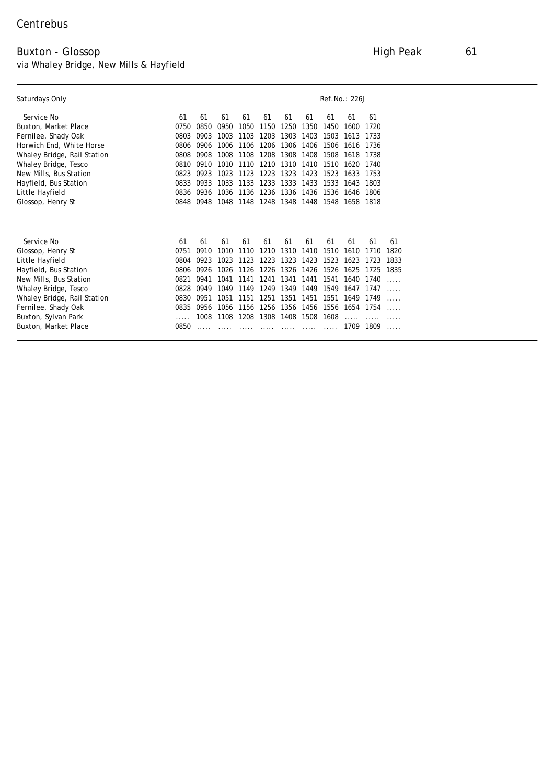## Buxton - Glossop High Peak 61 via Whaley Bridge, New Mills & Hayfield

| <b>Saturdays Only</b>              |      |      |      |           |      |                               |           |           | <b>Ref.No.: 226J</b> |           |      |
|------------------------------------|------|------|------|-----------|------|-------------------------------|-----------|-----------|----------------------|-----------|------|
| <b>Service No</b>                  | 61   | 61   | 61   | 61        | 61   | 61                            | 61        | 61        | 61                   | 61        |      |
| <b>Buxton, Market Place</b>        | 0750 | 0850 | 0950 | 1050      | 1150 | 1250                          | 1350      | 1450      | 1600                 | 1720      |      |
| <b>Fernilee, Shady Oak</b>         | 0803 | 0903 | 1003 | 1103      | 1203 | 1303                          | 1403      | 1503      | 1613 1733            |           |      |
| <b>Horwich End, White Horse</b>    | 0806 | 0906 | 1006 | 1106      | 1206 | 1306                          |           | 1406 1506 | 1616 1736            |           |      |
| <b>Whaley Bridge, Rail Station</b> | 0808 | 0908 | 1008 | 1108      | 1208 | 1308                          | 1408      | 1508      | 1618 1738            |           |      |
| <b>Whaley Bridge, Tesco</b>        | 0810 | 0910 | 1010 | 1110      | 1210 | 1310                          | 1410      | 1510      | 1620 1740            |           |      |
| <b>New Mills, Bus Station</b>      | 0823 | 0923 | 1023 | 1123      | 1223 | 1323                          | 1423      | 1523      | 1633 1753            |           |      |
| <b>Hayfield, Bus Station</b>       | 0833 | 0933 | 1033 | 1133      | 1233 | 1333                          | 1433      | 1533      | 1643                 | 1803      |      |
| <b>Little Hayfield</b>             | 0836 | 0936 |      |           |      | 1036 1136 1236 1336 1436 1536 |           |           | 1646                 | 1806      |      |
| <b>Glossop, Henry St</b>           | 0848 | 0948 |      |           |      | 1048 1148 1248 1348 1448 1548 |           |           | 1658 1818            |           |      |
|                                    |      |      |      |           |      |                               |           |           |                      |           |      |
| <b>Service No</b>                  | 61   | 61   | 61   | 61        | 61   | 61                            | 61        | 61        | 61                   | 61        | 61   |
| <b>Glossop, Henry St</b>           | 0751 | 0910 | 1010 | 1110      | 1210 | 1310                          | 1410      | 1510      | 1610                 | 1710      | 1820 |
| Little Hayfield                    | 0804 | 0923 | 1023 | 1123      | 1223 | 1323                          | 1423      | 1523      | 1623                 | 1723      | 1833 |
| <b>Hayfield, Bus Station</b>       | 0806 | 0926 |      | 1026 1126 | 1226 | 1326                          | 1426 1526 |           |                      | 1625 1725 | 1835 |
| <b>New Mills, Bus Station</b>      | 0821 | 0941 | 1041 | 1141      | 1241 | 1341                          |           | 1441 1541 |                      | 1640 1740 |      |
| <b>Whaley Bridge, Tesco</b>        | 0828 | 0949 | 1049 | 1149      | 1249 | 1349                          | 1449      | 1549      |                      | 1647 1747 |      |
| <b>Whaley Bridge, Rail Station</b> | 0830 | 0951 | 1051 | 1151      | 1251 | 1351                          |           | 1451 1551 | 1649 1749            |           |      |
| <b>Fernilee, Shady Oak</b>         | 0835 | 0956 | 1056 | 1156      |      | 1256 1356 1456 1556           |           |           | 1654 1754            |           |      |
| <b>Buxton, Sylvan Park</b>         |      | 1008 |      | 1108 1208 |      | 1308 1408 1508 1608           |           |           |                      |           | .    |
| <b>Buxton, Market Place</b>        | 0850 |      |      |           |      |                               |           |           | 1709                 | 1809      |      |